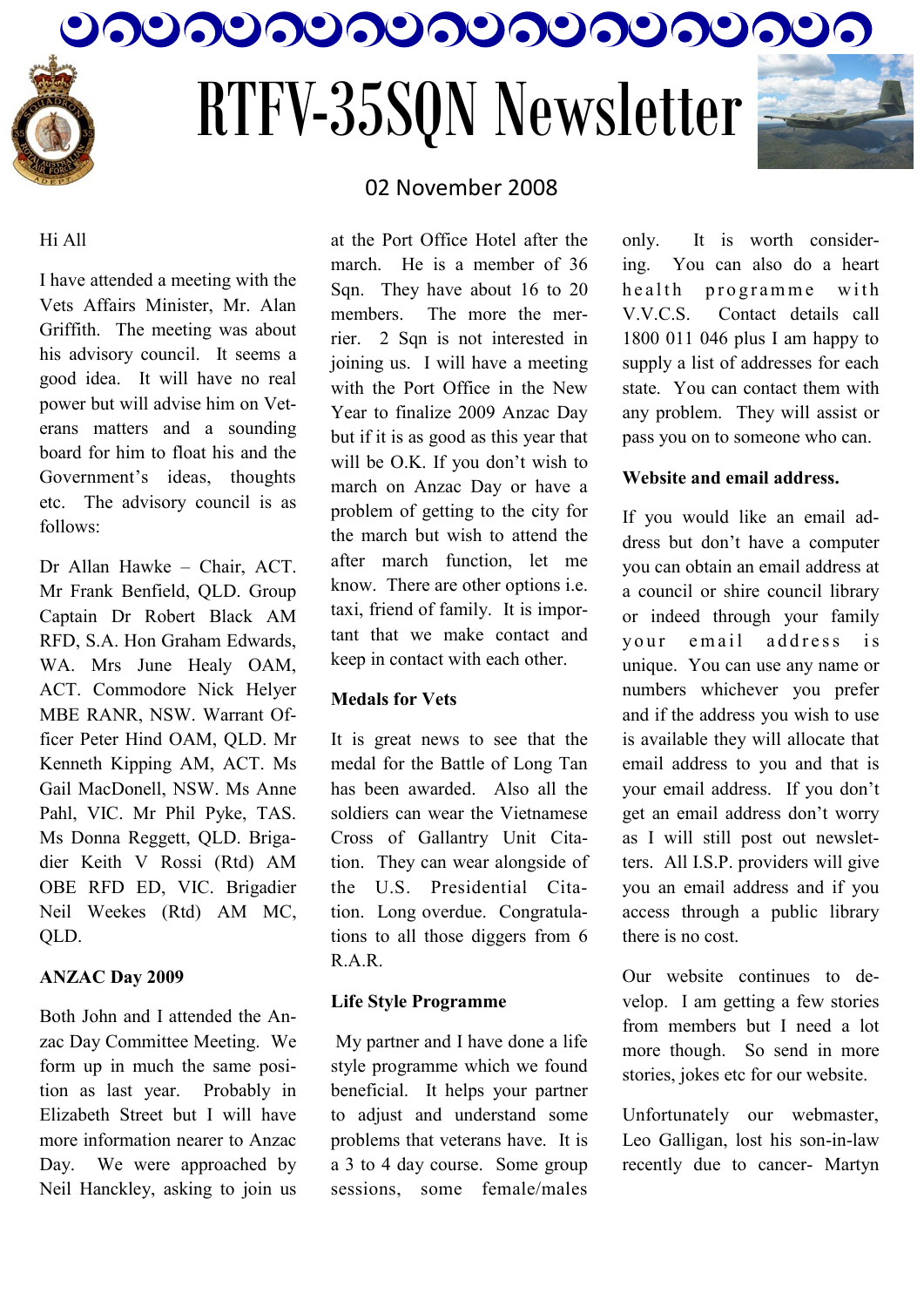

# RTFV-35SQN Newsletter



#### Hi All

I have attended a meeting with the Vets Affairs Minister, Mr. Alan Griffith. The meeting was about his advisory council. It seems a good idea. It will have no real power but will advise him on Veterans matters and a sounding board for him to float his and the Government's ideas, thoughts etc. The advisory council is as follows:

Dr Allan Hawke – Chair, ACT. Mr Frank Benfield, QLD. Group Captain Dr Robert Black AM RFD, S.A. Hon Graham Edwards, WA. Mrs June Healy OAM, ACT. Commodore Nick Helyer MBE RANR, NSW. Warrant Officer Peter Hind OAM, QLD. Mr Kenneth Kipping AM, ACT. Ms Gail MacDonell, NSW. Ms Anne Pahl, VIC. Mr Phil Pyke, TAS. Ms Donna Reggett, QLD. Brigadier Keith V Rossi (Rtd) AM OBE RFD ED, VIC. Brigadier Neil Weekes (Rtd) AM MC, QLD.

#### **ANZAC Day 2009**

Both John and I attended the Anzac Day Committee Meeting. We form up in much the same position as last year. Probably in Elizabeth Street but I will have more information nearer to Anzac Day. We were approached by Neil Hanckley, asking to join us

### 02 November 2008

at the Port Office Hotel after the march. He is a member of 36 Sqn. They have about 16 to 20 members. The more the merrier. 2 Sqn is not interested in joining us. I will have a meeting with the Port Office in the New Year to finalize 2009 Anzac Day but if it is as good as this year that will be O.K. If you don't wish to march on Anzac Day or have a problem of getting to the city for the march but wish to attend the after march function, let me know. There are other options i.e. taxi, friend of family. It is important that we make contact and keep in contact with each other.

#### **Medals for Vets**

It is great news to see that the medal for the Battle of Long Tan has been awarded. Also all the soldiers can wear the Vietnamese Cross of Gallantry Unit Citation. They can wear alongside of the U.S. Presidential Citation. Long overdue. Congratulations to all those diggers from 6 R.A.R.

#### **Life Style Programme**

My partner and I have done a life style programme which we found beneficial. It helps your partner to adjust and understand some problems that veterans have. It is a 3 to 4 day course. Some group sessions, some female/males

only. It is worth considering. You can also do a heart health programme with V.V.C.S. Contact details call 1800 011 046 plus I am happy to supply a list of addresses for each state. You can contact them with any problem. They will assist or pass you on to someone who can.

#### **Website and email address.**

If you would like an email address but don"t have a computer you can obtain an email address at a council or shire council library or indeed through your family your email address is unique. You can use any name or numbers whichever you prefer and if the address you wish to use is available they will allocate that email address to you and that is your email address. If you don"t get an email address don"t worry as I will still post out newsletters. All I.S.P. providers will give you an email address and if you access through a public library there is no cost.

Our website continues to develop. I am getting a few stories from members but I need a lot more though. So send in more stories, jokes etc for our website.

Unfortunately our webmaster, Leo Galligan, lost his son-in-law recently due to cancer- Martyn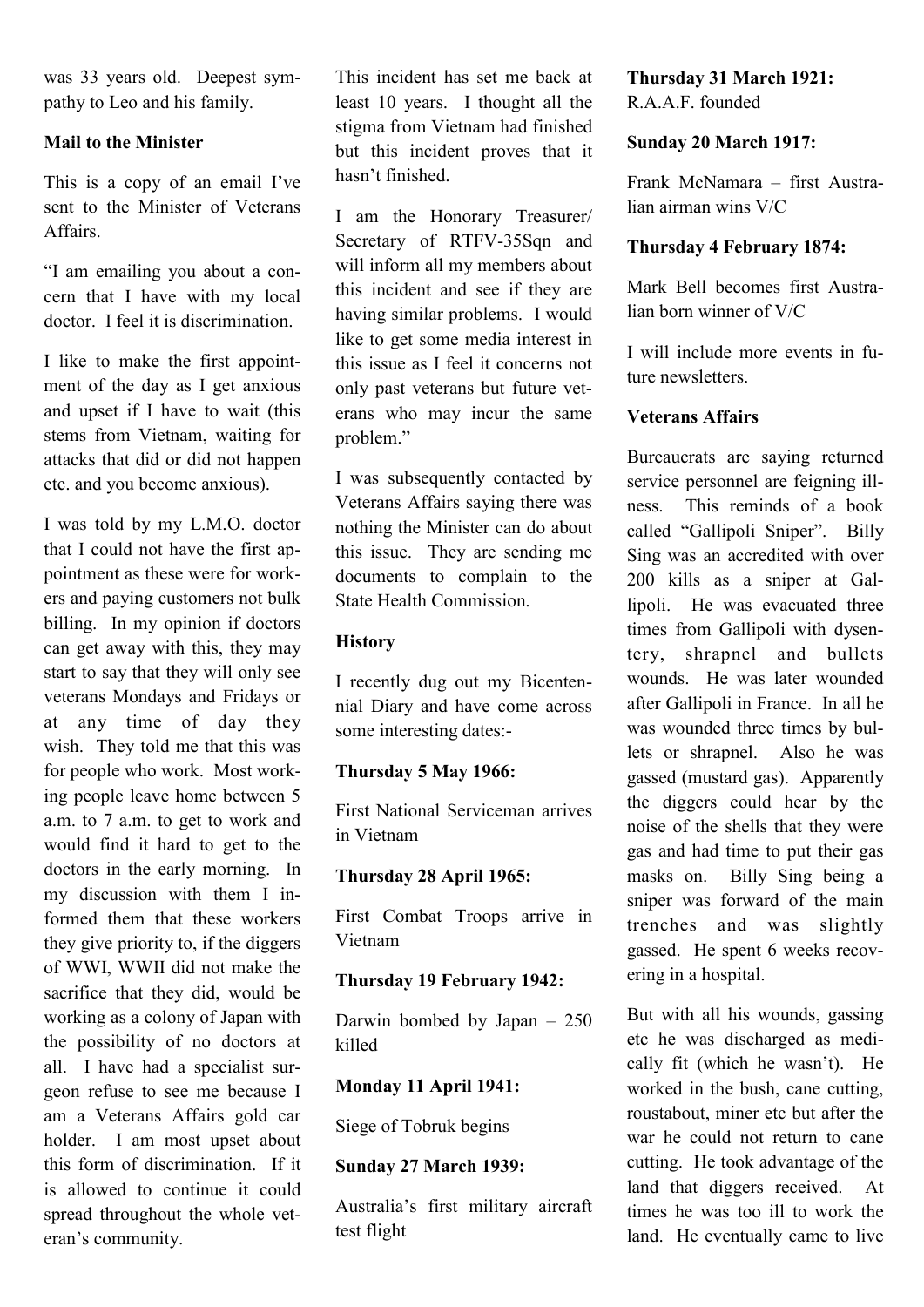was 33 years old. Deepest sympathy to Leo and his family.

#### **Mail to the Minister**

This is a copy of an email I've sent to the Minister of Veterans **Affairs** 

"I am emailing you about a concern that I have with my local doctor. I feel it is discrimination.

I like to make the first appointment of the day as I get anxious and upset if I have to wait (this stems from Vietnam, waiting for attacks that did or did not happen etc. and you become anxious).

I was told by my L.M.O. doctor that I could not have the first appointment as these were for workers and paying customers not bulk billing. In my opinion if doctors can get away with this, they may start to say that they will only see veterans Mondays and Fridays or at any time of day they wish. They told me that this was for people who work. Most working people leave home between 5 a.m. to 7 a.m. to get to work and would find it hard to get to the doctors in the early morning. In my discussion with them I informed them that these workers they give priority to, if the diggers of WWI, WWII did not make the sacrifice that they did, would be working as a colony of Japan with the possibility of no doctors at all. I have had a specialist surgeon refuse to see me because I am a Veterans Affairs gold car holder. I am most upset about this form of discrimination. If it is allowed to continue it could spread throughout the whole veteran"s community.

This incident has set me back at least 10 years. I thought all the stigma from Vietnam had finished but this incident proves that it hasn"t finished.

I am the Honorary Treasurer/ Secretary of RTFV-35Sqn and will inform all my members about this incident and see if they are having similar problems. I would like to get some media interest in this issue as I feel it concerns not only past veterans but future veterans who may incur the same problem."

I was subsequently contacted by Veterans Affairs saying there was nothing the Minister can do about this issue. They are sending me documents to complain to the State Health Commission.

#### **History**

I recently dug out my Bicentennial Diary and have come across some interesting dates:-

#### **Thursday 5 May 1966:**

First National Serviceman arrives in Vietnam

#### **Thursday 28 April 1965:**

First Combat Troops arrive in Vietnam

#### **Thursday 19 February 1942:**

Darwin bombed by Japan – 250 killed

#### **Monday 11 April 1941:**

Siege of Tobruk begins

#### **Sunday 27 March 1939:**

Australia"s first military aircraft test flight

## **Thursday 31 March 1921:**

R A A F founded

#### **Sunday 20 March 1917:**

Frank McNamara – first Australian airman wins V/C

#### **Thursday 4 February 1874:**

Mark Bell becomes first Australian born winner of V/C

I will include more events in future newsletters.

#### **Veterans Affairs**

Bureaucrats are saying returned service personnel are feigning illness. This reminds of a book called "Gallipoli Sniper". Billy Sing was an accredited with over 200 kills as a sniper at Gallipoli. He was evacuated three times from Gallipoli with dysentery, shrapnel and bullets wounds. He was later wounded after Gallipoli in France. In all he was wounded three times by bullets or shrapnel. Also he was gassed (mustard gas). Apparently the diggers could hear by the noise of the shells that they were gas and had time to put their gas masks on. Billy Sing being a sniper was forward of the main trenches and was slightly gassed. He spent 6 weeks recovering in a hospital.

But with all his wounds, gassing etc he was discharged as medically fit (which he wasn"t). He worked in the bush, cane cutting, roustabout, miner etc but after the war he could not return to cane cutting. He took advantage of the land that diggers received. At times he was too ill to work the land. He eventually came to live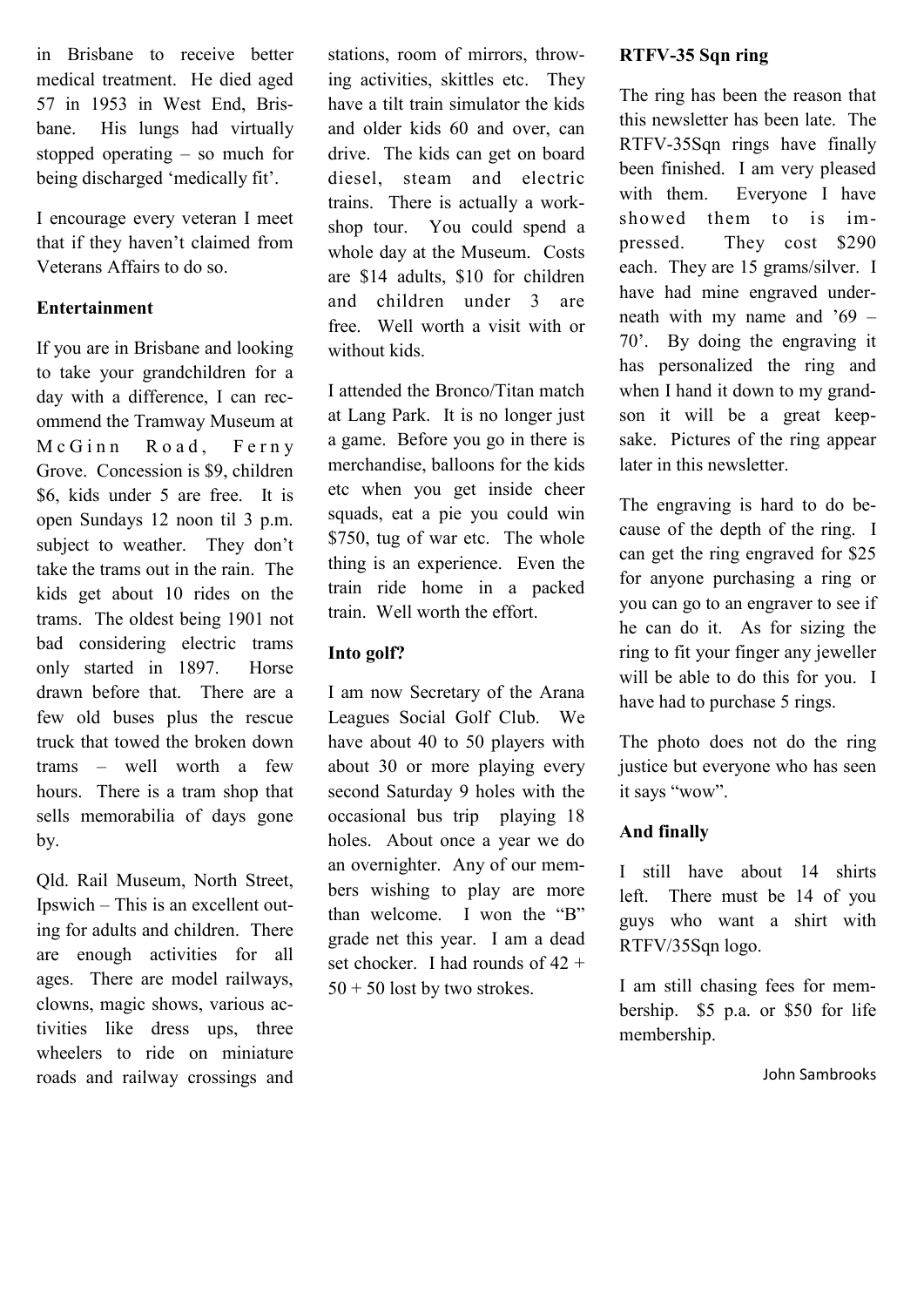in Brisbane to receive better medical treatment. He died aged 57 in 1953 in West End, Brisbane. His lungs had virtually stopped operating – so much for being discharged 'medically fit'.

I encourage every veteran I meet that if they haven"t claimed from Veterans Affairs to do so.

#### **Entertainment**

If you are in Brisbane and looking to take your grandchildren for a day with a difference, I can recommend the Tramway Museum at McGinn Road, Ferny Grove. Concession is \$9, children \$6, kids under 5 are free. It is open Sundays 12 noon til 3 p.m. subject to weather. They don't take the trams out in the rain. The kids get about 10 rides on the trams. The oldest being 1901 not bad considering electric trams only started in 1897. Horse drawn before that. There are a few old buses plus the rescue truck that towed the broken down trams – well worth a few hours. There is a tram shop that sells memorabilia of days gone by.

Qld. Rail Museum, North Street, Ipswich – This is an excellent outing for adults and children. There are enough activities for all ages. There are model railways, clowns, magic shows, various activities like dress ups, three wheelers to ride on miniature roads and railway crossings and stations, room of mirrors, throwing activities, skittles etc. They have a tilt train simulator the kids and older kids 60 and over, can drive. The kids can get on board diesel, steam and electric trains. There is actually a workshop tour. You could spend a whole day at the Museum. Costs are \$14 adults, \$10 for children and children under 3 are free. Well worth a visit with or without kids.

I attended the Bronco/Titan match at Lang Park. It is no longer just a game. Before you go in there is merchandise, balloons for the kids etc when you get inside cheer squads, eat a pie you could win \$750, tug of war etc. The whole thing is an experience. Even the train ride home in a packed train. Well worth the effort.

#### **Into golf?**

I am now Secretary of the Arana Leagues Social Golf Club. We have about 40 to 50 players with about 30 or more playing every second Saturday 9 holes with the occasional bus trip playing 18 holes. About once a year we do an overnighter. Any of our members wishing to play are more than welcome. I won the "B" grade net this year. I am a dead set chocker. I had rounds of 42 +  $50 + 50$  lost by two strokes.

#### **RTFV-35 Sqn ring**

The ring has been the reason that this newsletter has been late. The RTFV-35Sqn rings have finally been finished. I am very pleased with them. Everyone I have showed them to is impressed. They cost \$290 each. They are 15 grams/silver. I have had mine engraved underneath with my name and  $69 -$ 70". By doing the engraving it has personalized the ring and when I hand it down to my grandson it will be a great keepsake. Pictures of the ring appear later in this newsletter.

The engraving is hard to do because of the depth of the ring. I can get the ring engraved for \$25 for anyone purchasing a ring or you can go to an engraver to see if he can do it. As for sizing the ring to fit your finger any jeweller will be able to do this for you. I have had to purchase 5 rings.

The photo does not do the ring justice but everyone who has seen it says "wow".

#### **And finally**

I still have about 14 shirts left. There must be 14 of you guys who want a shirt with RTFV/35Sqn logo.

I am still chasing fees for membership. \$5 p.a. or \$50 for life membership.

John Sambrooks